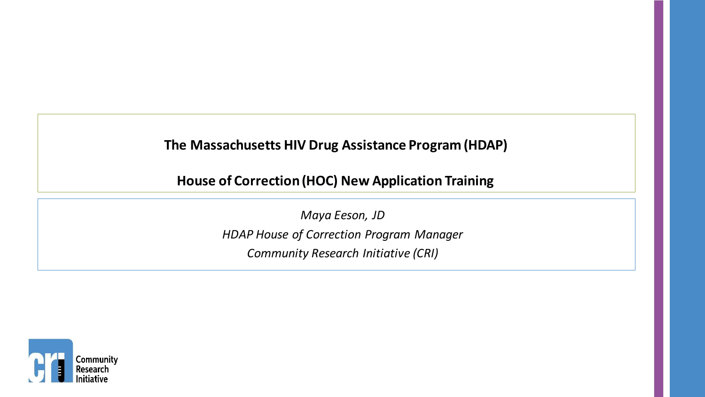*\*Please note this webinar was produced and recorded while AccessHealth MA was still known as Community Research Initiative (CRI). The program information has not changed and is still relevant.*

#### **The Massachusetts HIV Drug Assistance Program (HDAP)**

**House of Correction (HOC) New Application Training**

*Maya Eeson, JD HDAP House of Correction Program Manager Community Research Initiative (CRI)*

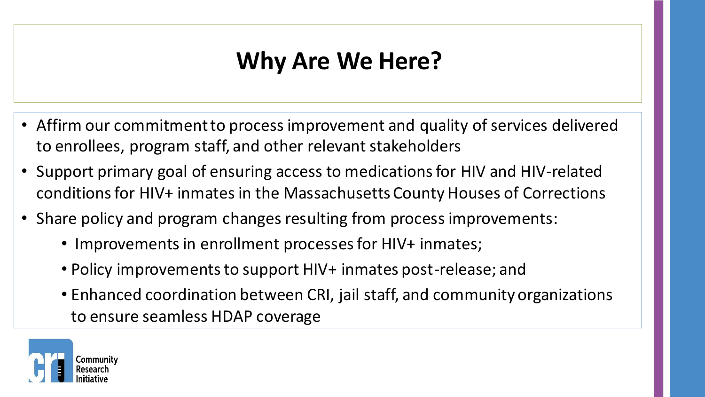## **Why Are We Here?**

- Affirm our commitment to process improvement and quality of services delivered to enrollees, program staff, and other relevant stakeholders
- Support primary goal of ensuring access to medications for HIV and HIV-related conditions for HIV+ inmates in the Massachusetts County Houses of Corrections
- Share policy and program changes resulting from process improvements:
	- Improvements in enrollment processes for HIV+ inmates;
	- Policy improvements to support HIV+ inmates post-release; and
	- Enhanced coordination between CRI, jail staff, and community organizations to ensure seamless HDAP coverage

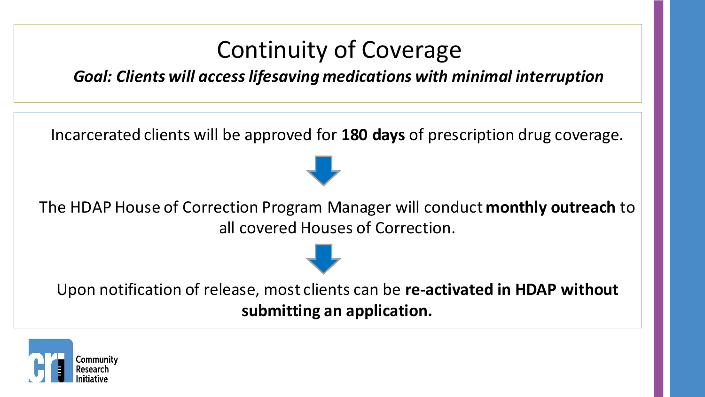

**submitting an application.** 

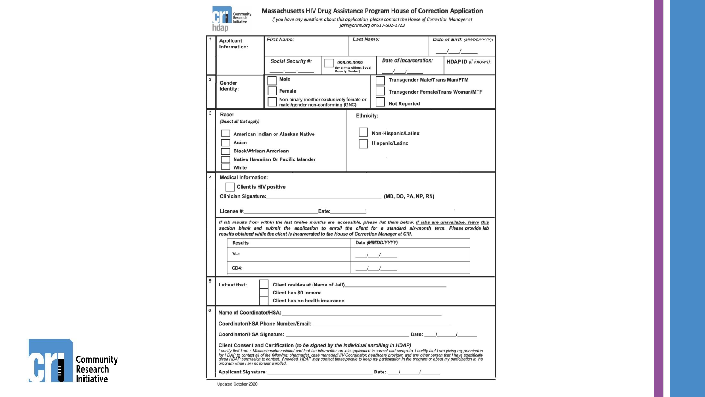

Massachusetts HIV Drug Assistance Program House of Correction Application

If you have any questions about this application, please contact the House of Correction Manager at jails@crine.org or 617-502-1723

|                | Applicant                     | <b>First Name:</b>                                                                                                                                                                                                                                 | <b>Last Name:</b>                          |                                                                                                                                                                                                                                                                                                                     |  | Date of Birth (MM/DD/YYYY): |  |  |  |
|----------------|-------------------------------|----------------------------------------------------------------------------------------------------------------------------------------------------------------------------------------------------------------------------------------------------|--------------------------------------------|---------------------------------------------------------------------------------------------------------------------------------------------------------------------------------------------------------------------------------------------------------------------------------------------------------------------|--|-----------------------------|--|--|--|
|                | Information:                  |                                                                                                                                                                                                                                                    |                                            |                                                                                                                                                                                                                                                                                                                     |  |                             |  |  |  |
|                |                               |                                                                                                                                                                                                                                                    |                                            | Date of Incarceration:                                                                                                                                                                                                                                                                                              |  | $\frac{1}{2}$               |  |  |  |
|                |                               | Social Security #:                                                                                                                                                                                                                                 | 999-99-9999<br>(for clients without Social |                                                                                                                                                                                                                                                                                                                     |  | <b>HDAP ID</b> (if known):  |  |  |  |
| $\overline{2}$ |                               | Male                                                                                                                                                                                                                                               | <b>Security Number)</b>                    | <b>Transgender Male/Trans Man/FTM</b>                                                                                                                                                                                                                                                                               |  |                             |  |  |  |
|                | Gender<br>Identity:           |                                                                                                                                                                                                                                                    |                                            |                                                                                                                                                                                                                                                                                                                     |  |                             |  |  |  |
|                |                               | Female<br>Non-binary (neither exclusively female or                                                                                                                                                                                                |                                            | <b>Transgender Female/Trans Woman/MTF</b>                                                                                                                                                                                                                                                                           |  |                             |  |  |  |
|                |                               | male)/gender non-conforming (GNC)                                                                                                                                                                                                                  |                                            | <b>Not Reported</b>                                                                                                                                                                                                                                                                                                 |  |                             |  |  |  |
| 3              | Race:                         |                                                                                                                                                                                                                                                    | Ethnicity:                                 |                                                                                                                                                                                                                                                                                                                     |  |                             |  |  |  |
|                | (Select all that apply)       |                                                                                                                                                                                                                                                    |                                            |                                                                                                                                                                                                                                                                                                                     |  |                             |  |  |  |
|                |                               | American Indian or Alaskan Native                                                                                                                                                                                                                  |                                            | Non-Hispanic/Latinx                                                                                                                                                                                                                                                                                                 |  |                             |  |  |  |
|                | Asian                         |                                                                                                                                                                                                                                                    | <b>Hispanic/Latinx</b>                     |                                                                                                                                                                                                                                                                                                                     |  |                             |  |  |  |
|                | <b>Black/African American</b> |                                                                                                                                                                                                                                                    |                                            |                                                                                                                                                                                                                                                                                                                     |  |                             |  |  |  |
|                | White                         | Native Hawaiian Or Pacific Islander                                                                                                                                                                                                                |                                            |                                                                                                                                                                                                                                                                                                                     |  |                             |  |  |  |
| 4              | <b>Medical Information:</b>   |                                                                                                                                                                                                                                                    |                                            |                                                                                                                                                                                                                                                                                                                     |  |                             |  |  |  |
|                | <b>Client is HIV positive</b> |                                                                                                                                                                                                                                                    |                                            |                                                                                                                                                                                                                                                                                                                     |  |                             |  |  |  |
|                |                               | Clinician Signature: (MD, DO, PA, NP, RN)                                                                                                                                                                                                          |                                            |                                                                                                                                                                                                                                                                                                                     |  |                             |  |  |  |
|                |                               |                                                                                                                                                                                                                                                    |                                            |                                                                                                                                                                                                                                                                                                                     |  |                             |  |  |  |
|                |                               |                                                                                                                                                                                                                                                    |                                            |                                                                                                                                                                                                                                                                                                                     |  |                             |  |  |  |
|                |                               |                                                                                                                                                                                                                                                    |                                            |                                                                                                                                                                                                                                                                                                                     |  |                             |  |  |  |
|                |                               | If lab results from within the last twelve months are accessible, please list them below. If labs are unavailable, leave this                                                                                                                      |                                            |                                                                                                                                                                                                                                                                                                                     |  |                             |  |  |  |
|                |                               | section blank and submit the application to enroll the client for a standard six-month term. Please provide lab<br>results obtained while the client is incarcerated to the House of Correction Manager at CRI.                                    |                                            |                                                                                                                                                                                                                                                                                                                     |  |                             |  |  |  |
|                | <b>Results</b>                |                                                                                                                                                                                                                                                    | Date (MM/DD/YYYY)                          |                                                                                                                                                                                                                                                                                                                     |  |                             |  |  |  |
|                | VL:                           |                                                                                                                                                                                                                                                    |                                            |                                                                                                                                                                                                                                                                                                                     |  |                             |  |  |  |
|                |                               |                                                                                                                                                                                                                                                    |                                            |                                                                                                                                                                                                                                                                                                                     |  |                             |  |  |  |
|                | CD4:                          |                                                                                                                                                                                                                                                    |                                            | $\frac{1}{2}$ $\frac{1}{2}$ $\frac{1}{2}$ $\frac{1}{2}$ $\frac{1}{2}$ $\frac{1}{2}$ $\frac{1}{2}$ $\frac{1}{2}$ $\frac{1}{2}$ $\frac{1}{2}$ $\frac{1}{2}$ $\frac{1}{2}$ $\frac{1}{2}$ $\frac{1}{2}$ $\frac{1}{2}$ $\frac{1}{2}$ $\frac{1}{2}$ $\frac{1}{2}$ $\frac{1}{2}$ $\frac{1}{2}$ $\frac{1}{2}$ $\frac{1}{2}$ |  |                             |  |  |  |
| 5              |                               |                                                                                                                                                                                                                                                    |                                            |                                                                                                                                                                                                                                                                                                                     |  |                             |  |  |  |
|                | I attest that:                | Client has \$0 income                                                                                                                                                                                                                              |                                            |                                                                                                                                                                                                                                                                                                                     |  |                             |  |  |  |
|                |                               | Client has no health insurance                                                                                                                                                                                                                     |                                            |                                                                                                                                                                                                                                                                                                                     |  |                             |  |  |  |
| 6              |                               |                                                                                                                                                                                                                                                    |                                            |                                                                                                                                                                                                                                                                                                                     |  |                             |  |  |  |
|                |                               |                                                                                                                                                                                                                                                    |                                            |                                                                                                                                                                                                                                                                                                                     |  |                             |  |  |  |
|                |                               |                                                                                                                                                                                                                                                    |                                            |                                                                                                                                                                                                                                                                                                                     |  |                             |  |  |  |
|                |                               |                                                                                                                                                                                                                                                    |                                            |                                                                                                                                                                                                                                                                                                                     |  |                             |  |  |  |
|                |                               | Client Consent and Certification (to be signed by the individual enrolling in HDAP)<br>I certify that I am a Massachusetts resident and that the information on this application is correct and complete. I certify that I am giving my permission |                                            |                                                                                                                                                                                                                                                                                                                     |  |                             |  |  |  |
|                |                               | r value y dat rankessachasette response and man man manager/HIV Coordinator, healthcare provider, and any other person that I have specifically<br>given HDAP to contact all of the following: pharmacist, case manager/HIV Coord                  |                                            |                                                                                                                                                                                                                                                                                                                     |  |                             |  |  |  |



Updated October 2020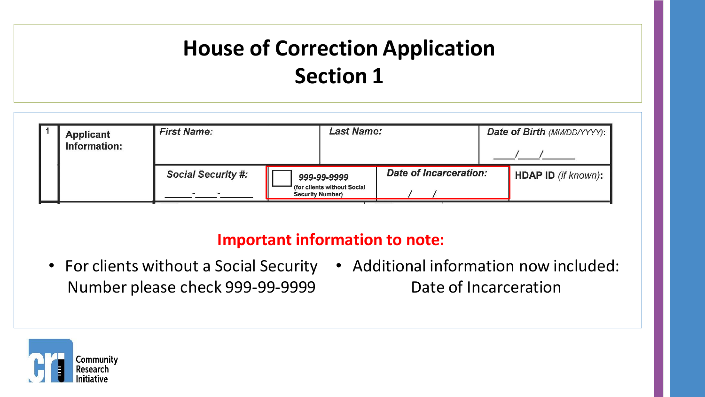

#### **Important information to note:**

• For clients without a Social Security • Additional information now included: Number please check 999-99-9999 Date of Incarceration

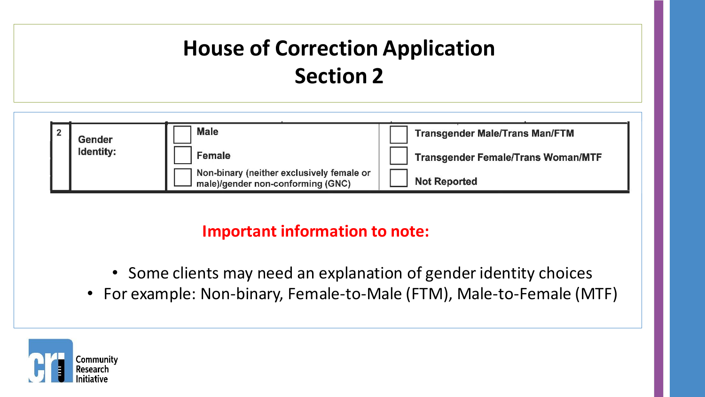| Gender           | <b>Male</b>                                                                    | <b>Transgender Male/Trans Man/FTM</b>     |
|------------------|--------------------------------------------------------------------------------|-------------------------------------------|
| <b>Identity:</b> | Female                                                                         | <b>Transgender Female/Trans Woman/MTF</b> |
|                  | Non-binary (neither exclusively female or<br>male)/gender non-conforming (GNC) | <b>Not Reported</b>                       |

- Some clients may need an explanation of gender identity choices
- For example: Non-binary, Female-to-Male (FTM), Male-to-Female (MTF)

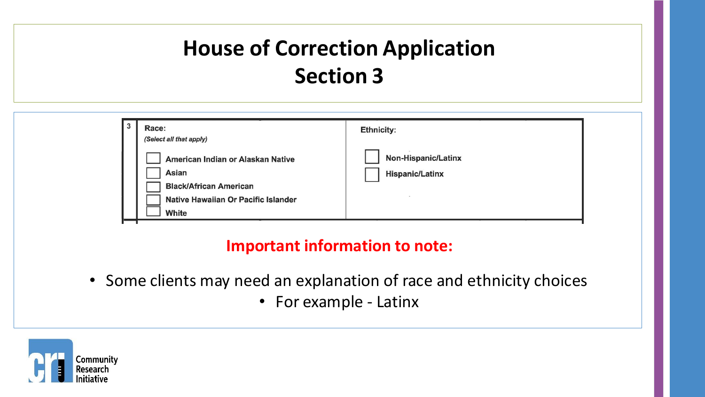| $\overline{3}$ | Race:<br>(Select all that apply)                                                                                                   | <b>Ethnicity:</b>                                    |
|----------------|------------------------------------------------------------------------------------------------------------------------------------|------------------------------------------------------|
|                | American Indian or Alaskan Native<br><b>Asian</b><br><b>Black/African American</b><br>Native Hawaiian Or Pacific Islander<br>White | <b>Non-Hispanic/Latinx</b><br><b>Hispanic/Latinx</b> |

- Some clients may need an explanation of race and ethnicity choices
	- For example Latinx

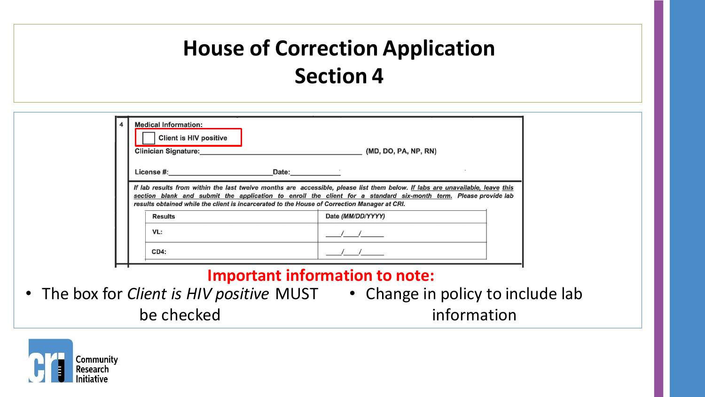| <b>Client is HIV positive</b><br><b>Clinician Signature:</b>                                 |       | (MD, DO, PA, NP, RN)                                                                                                                                                                                                                             |
|----------------------------------------------------------------------------------------------|-------|--------------------------------------------------------------------------------------------------------------------------------------------------------------------------------------------------------------------------------------------------|
| License #:                                                                                   | Date: |                                                                                                                                                                                                                                                  |
|                                                                                              |       |                                                                                                                                                                                                                                                  |
| results obtained while the client is incarcerated to the House of Correction Manager at CRI. |       | If lab results from within the last twelve months are accessible, please list them below. If labs are unavailable, leave this<br>section blank and submit the application to enroll the client for a standard six-month term. Please provide lab |
| <b>Results</b>                                                                               |       | Date (MM/DD/YYYY)                                                                                                                                                                                                                                |
| VL:                                                                                          |       |                                                                                                                                                                                                                                                  |

- The box for *Client is HIV positive* MUST Change in policy to include lab be checked
	- information

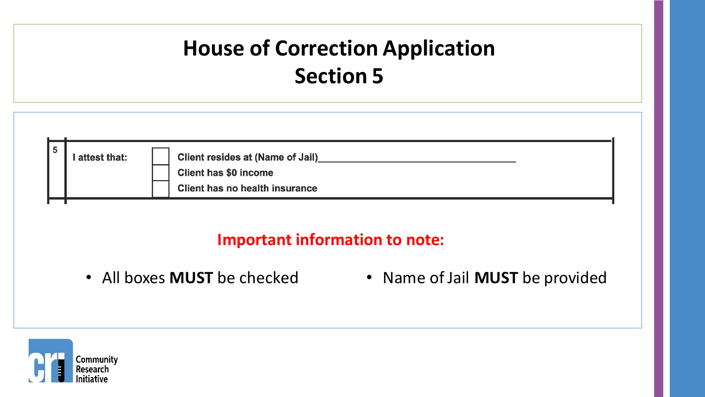| 5 | attest that: | <b>Client resides at (Name of Jail)</b><br><b>Client has \$0 income</b><br><b>Client has no health insurance</b> |
|---|--------------|------------------------------------------------------------------------------------------------------------------|
|   |              |                                                                                                                  |

- 
- All boxes **MUST** be checked Name of Jail **MUST** be provided

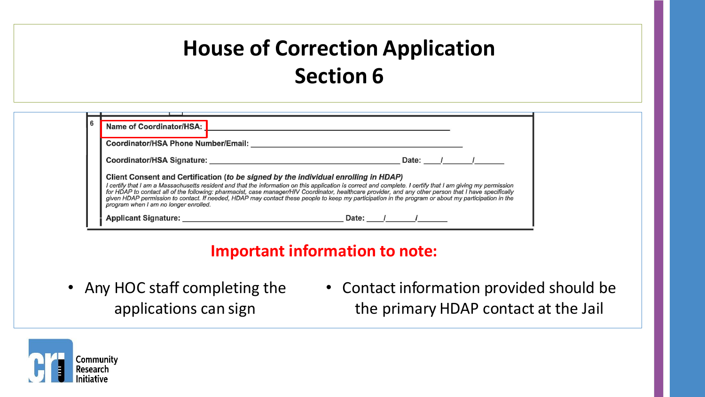| <b>Coordinator/HSA Phone Number/Email:</b>                                                                                                                                                                                                                                                                                                                                                                                                                                                                                                                                                                                       |  |  |  |  |  |  |
|----------------------------------------------------------------------------------------------------------------------------------------------------------------------------------------------------------------------------------------------------------------------------------------------------------------------------------------------------------------------------------------------------------------------------------------------------------------------------------------------------------------------------------------------------------------------------------------------------------------------------------|--|--|--|--|--|--|
| Coordinator/HSA Signature:                                                                                                                                                                                                                                                                                                                                                                                                                                                                                                                                                                                                       |  |  |  |  |  |  |
| Date: $\sqrt{2}$<br>Client Consent and Certification (to be signed by the individual enrolling in HDAP)<br>I certify that I am a Massachusetts resident and that the information on this application is correct and complete. I certify that I am giving my permission<br>for HDAP to contact all of the following: pharmacist, case manager/HIV Coordinator, healthcare provider, and any other person that I have specifically<br>given HDAP permission to contact. If needed, HDAP may contact these people to keep my participation in the program or about my participation in the<br>program when I am no longer enrolled. |  |  |  |  |  |  |

- Any HOC staff completing the applications can sign
- Contact information provided should be the primary HDAP contact at the Jail

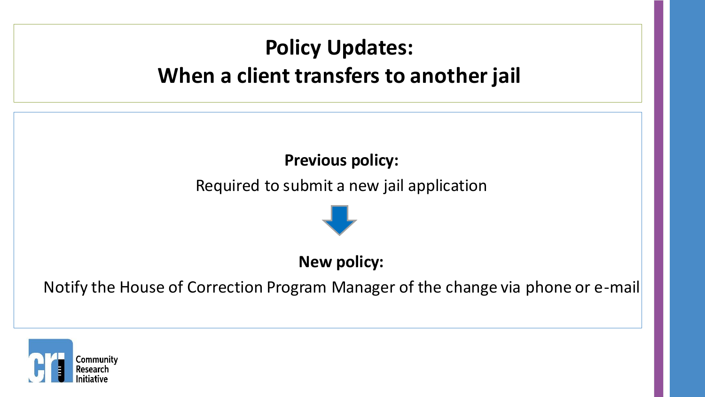### **Policy Updates: When a client transfers to another jail**

### **Previous policy:**

Required to submit a new jail application



#### **New policy:**

Notify the House of Correction Program Manager of the change via phone or e-mail

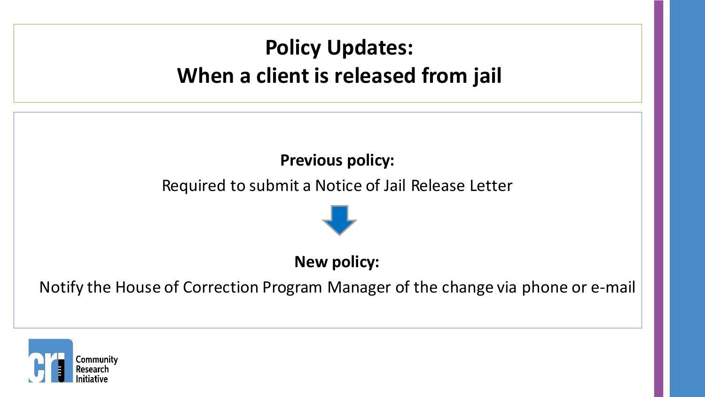### **Policy Updates: When a client is released from jail**

### **Previous policy:**

Required to submit a Notice of Jail Release Letter



#### **New policy:**

Notify the House of Correction Program Manager of the change via phone or e-mail

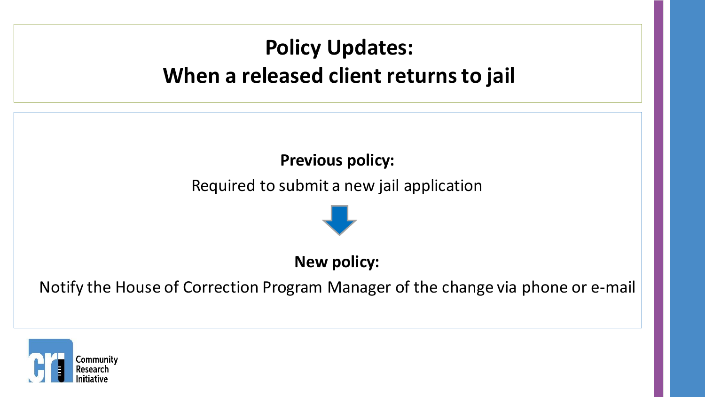### **Policy Updates: When a released client returns to jail**

### **Previous policy:**

Required to submit a new jail application



#### **New policy:**

Notify the House of Correction Program Manager of the change via phone or e-mail

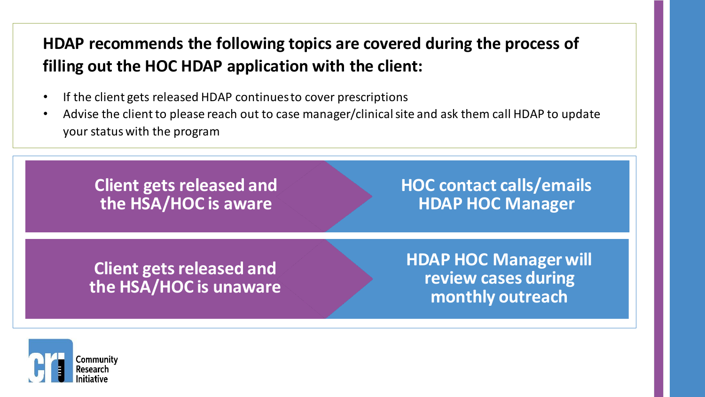### **HDAP recommends the following topics are covered during the process of filling out the HOC HDAP application with the client:**

- If the client gets released HDAP continues to cover prescriptions
- Advise the client to please reach out to case manager/clinical site and ask them call HDAP to update your status with the program

**Client gets released and the HSA/HOC is aware**

**HOC contact calls/emails HDAP HOC Manager**

**Client gets released and the HSA/HOC is unaware** **HDAP HOC Manager will review cases during monthly outreach**